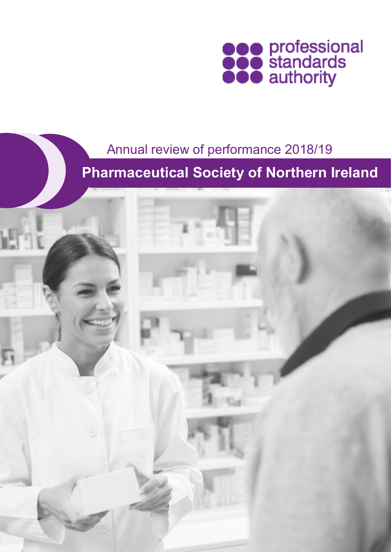

### Annual review of performance 2018/19

**Pharmaceutical Society of Northern Ireland**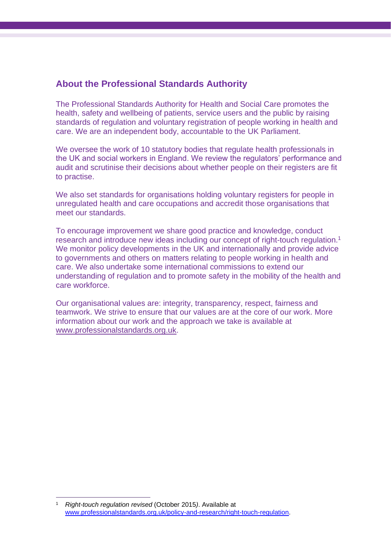### **About the Professional Standards Authority**

The Professional Standards Authority for Health and Social Care promotes the health, safety and wellbeing of patients, service users and the public by raising standards of regulation and voluntary registration of people working in health and care. We are an independent body, accountable to the UK Parliament.

We oversee the work of 10 statutory bodies that regulate health professionals in the UK and social workers in England. We review the regulators' performance and audit and scrutinise their decisions about whether people on their registers are fit to practise.

We also set standards for organisations holding voluntary registers for people in unregulated health and care occupations and accredit those organisations that meet our standards.

To encourage improvement we share good practice and knowledge, conduct research and introduce new ideas including our concept of right-touch regulation.<sup>1</sup> We monitor policy developments in the UK and internationally and provide advice to governments and others on matters relating to people working in health and care. We also undertake some international commissions to extend our understanding of regulation and to promote safety in the mobility of the health and care workforce.

Our organisational values are: integrity, transparency, respect, fairness and teamwork. We strive to ensure that our values are at the core of our work. More information about our work and the approach we take is available at [www.professionalstandards.org.uk.](http://www.professionalstandards.org.uk/)

<sup>1</sup> *Right-touch regulation revised* (October 2015*)*. Available at [www.professionalstandards.org.uk/policy-and-research/right-touch-regulation.](http://www.professionalstandards.org.uk/policy-and-research/right-touch-regulation)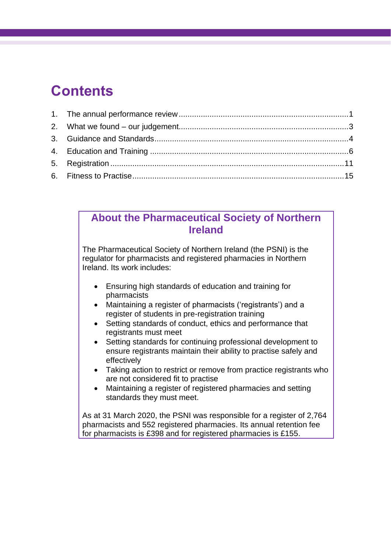# **Contents**

### **About the Pharmaceutical Society of Northern Ireland**

The Pharmaceutical Society of Northern Ireland (the PSNI) is the regulator for pharmacists and registered pharmacies in Northern Ireland. Its work includes:

- Ensuring high standards of education and training for pharmacists
- Maintaining a register of pharmacists ('registrants') and a register of students in pre-registration training
- Setting standards of conduct, ethics and performance that registrants must meet
- Setting standards for continuing professional development to ensure registrants maintain their ability to practise safely and effectively
- Taking action to restrict or remove from practice registrants who are not considered fit to practise
- Maintaining a register of registered pharmacies and setting standards they must meet.

As at 31 March 2020, the PSNI was responsible for a register of 2,764 pharmacists and 552 registered pharmacies. Its annual retention fee for pharmacists is £398 and for registered pharmacies is £155.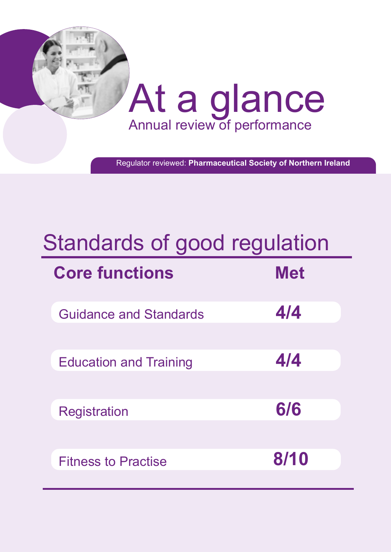

Regulator reviewed: **Pharmaceutical Society of Northern Ireland**

# Standards of good regulation

| <b>Core functions</b>         | <b>Met</b> |
|-------------------------------|------------|
| <b>Guidance and Standards</b> | 4/4        |
| <b>Education and Training</b> | 4/4        |
| <b>Registration</b>           | 6/6        |
| <b>Fitness to Practise</b>    | 8/10       |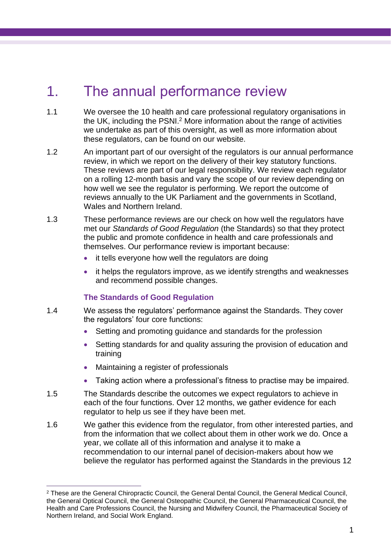# <span id="page-4-0"></span>1. The annual performance review

- 1.1 We oversee the 10 health and care professional regulatory organisations in the UK, including the PSNI. <sup>2</sup> More information about the range of activities we undertake as part of this oversight, as well as more information about these regulators, can be found on our website.
- 1.2 An important part of our oversight of the regulators is our annual performance review, in which we report on the delivery of their key statutory functions. These reviews are part of our legal responsibility. We review each regulator on a rolling 12-month basis and vary the scope of our review depending on how well we see the regulator is performing. We report the outcome of reviews annually to the UK Parliament and the governments in Scotland, Wales and Northern Ireland
- 1.3 These performance reviews are our check on how well the regulators have met our *Standards of Good Regulation* (the Standards) so that they protect the public and promote confidence in health and care professionals and themselves. Our performance review is important because:
	- it tells everyone how well the regulators are doing
	- it helps the regulators improve, as we identify strengths and weaknesses and recommend possible changes.

#### **The Standards of Good Regulation**

- 1.4 We assess the regulators' performance against the Standards. They cover the regulators' four core functions:
	- Setting and promoting guidance and standards for the profession
	- Setting standards for and quality assuring the provision of education and training
	- Maintaining a register of professionals
	- Taking action where a professional's fitness to practise may be impaired.
- 1.5 The Standards describe the outcomes we expect regulators to achieve in each of the four functions. Over 12 months, we gather evidence for each regulator to help us see if they have been met.
- 1.6 We gather this evidence from the regulator, from other interested parties, and from the information that we collect about them in other work we do. Once a year, we collate all of this information and analyse it to make a recommendation to our internal panel of decision-makers about how we believe the regulator has performed against the Standards in the previous 12

<sup>2</sup> These are the General Chiropractic Council, the General Dental Council, the General Medical Council, the General Optical Council, the General Osteopathic Council, the General Pharmaceutical Council, the Health and Care Professions Council, the Nursing and Midwifery Council, the Pharmaceutical Society of Northern Ireland, and Social Work England.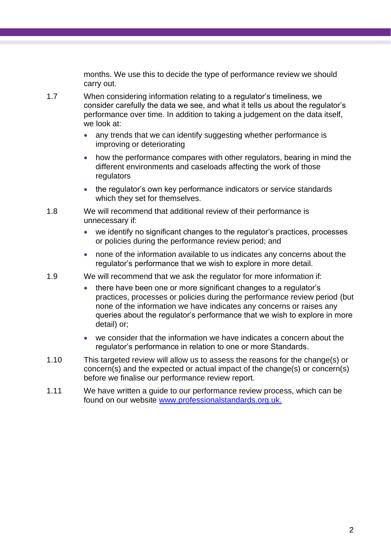months. We use this to decide the type of performance review we should carry out.

- 1.7 When considering information relating to a regulator's timeliness, we consider carefully the data we see, and what it tells us about the regulator's performance over time. In addition to taking a judgement on the data itself, we look at:
	- any trends that we can identify suggesting whether performance is improving or deteriorating
	- how the performance compares with other regulators, bearing in mind the different environments and caseloads affecting the work of those regulators
	- the regulator's own key performance indicators or service standards which they set for themselves.
- 1.8 We will recommend that additional review of their performance is unnecessary if:
	- we identify no significant changes to the regulator's practices, processes or policies during the performance review period; and
	- none of the information available to us indicates any concerns about the regulator's performance that we wish to explore in more detail.
- 1.9 We will recommend that we ask the regulator for more information if:
	- there have been one or more significant changes to a regulator's practices, processes or policies during the performance review period (but none of the information we have indicates any concerns or raises any queries about the regulator's performance that we wish to explore in more detail) or;
	- we consider that the information we have indicates a concern about the regulator's performance in relation to one or more Standards.
- 1.10 This targeted review will allow us to assess the reasons for the change(s) or concern(s) and the expected or actual impact of the change(s) or concern(s) before we finalise our performance review report.
- 1.11 We have written a guide to our performance review process, which can be found on our website [www.professionalstandards.org.uk.](http://www.professionalstandards.org.uk/)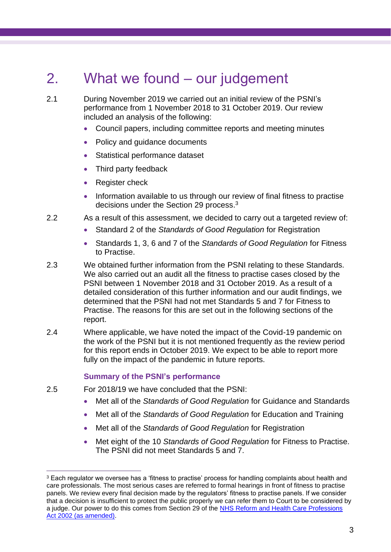# <span id="page-6-0"></span>2. What we found – our judgement

2.1 During November 2019 we carried out an initial review of the PSNI's performance from 1 November 2018 to 31 October 2019. Our review included an analysis of the following:

- Council papers, including committee reports and meeting minutes
- Policy and guidance documents
- Statistical performance dataset
- Third party feedback
- Register check
- Information available to us through our review of final fitness to practise decisions under the Section 29 process. 3
- 2.2 As a result of this assessment, we decided to carry out a targeted review of:
	- Standard 2 of the *Standards of Good Regulation* for Registration
	- Standards 1, 3, 6 and 7 of the *Standards of Good Regulation* for Fitness to Practise.
- 2.3 We obtained further information from the PSNI relating to these Standards. We also carried out an audit all the fitness to practise cases closed by the PSNI between 1 November 2018 and 31 October 2019. As a result of a detailed consideration of this further information and our audit findings, we determined that the PSNI had not met Standards 5 and 7 for Fitness to Practise. The reasons for this are set out in the following sections of the report.
- 2.4 Where applicable, we have noted the impact of the Covid-19 pandemic on the work of the PSNI but it is not mentioned frequently as the review period for this report ends in October 2019. We expect to be able to report more fully on the impact of the pandemic in future reports.

#### **Summary of the PSNI's performance**

- 2.5 For 2018/19 we have concluded that the PSNI:
	- Met all of the *Standards of Good Regulation* for Guidance and Standards
	- Met all of the *Standards of Good Regulation* for Education and Training
	- Met all of the *Standards of Good Regulation* for Registration
	- Met eight of the 10 *Standards of Good Regulation* for Fitness to Practise. The PSNI did not meet Standards 5 and 7.

<sup>&</sup>lt;sup>3</sup> Each regulator we oversee has a 'fitness to practise' process for handling complaints about health and care professionals. The most serious cases are referred to formal hearings in front of fitness to practise panels. We review every final decision made by the regulators' fitness to practise panels. If we consider that a decision is insufficient to protect the public properly we can refer them to Court to be considered by a judge. Our power to do this comes from Section 29 of the [NHS Reform and Health Care Professions](http://www.legislation.gov.uk/ukpga/2002/17/contents)  [Act 2002 \(as amended\).](http://www.legislation.gov.uk/ukpga/2002/17/contents)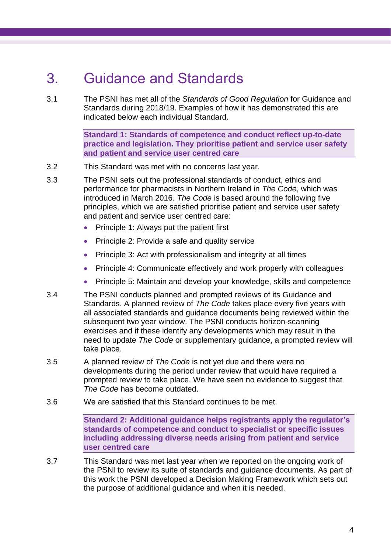# <span id="page-7-0"></span>3. Guidance and Standards

3.1 The PSNI has met all of the *Standards of Good Regulation* for Guidance and Standards during 2018/19. Examples of how it has demonstrated this are indicated below each individual Standard.

> **Standard 1: Standards of competence and conduct reflect up-to-date practice and legislation. They prioritise patient and service user safety and patient and service user centred care**

- 3.2 This Standard was met with no concerns last year.
- 3.3 The PSNI sets out the professional standards of conduct, ethics and performance for pharmacists in Northern Ireland in *The Code*, which was introduced in March 2016. *The Code* is based around the following five principles, which we are satisfied prioritise patient and service user safety and patient and service user centred care:
	- Principle 1: Always put the patient first
	- Principle 2: Provide a safe and quality service
	- Principle 3: Act with professionalism and integrity at all times
	- Principle 4: Communicate effectively and work properly with colleagues
	- Principle 5: Maintain and develop your knowledge, skills and competence
- 3.4 The PSNI conducts planned and prompted reviews of its Guidance and Standards. A planned review of *The Code* takes place every five years with all associated standards and guidance documents being reviewed within the subsequent two year window. The PSNI conducts horizon-scanning exercises and if these identify any developments which may result in the need to update *The Code* or supplementary guidance, a prompted review will take place.
- 3.5 A planned review of *The Code* is not yet due and there were no developments during the period under review that would have required a prompted review to take place. We have seen no evidence to suggest that *The Code* has become outdated.
- 3.6 We are satisfied that this Standard continues to be met.

**Standard 2: Additional guidance helps registrants apply the regulator's standards of competence and conduct to specialist or specific issues including addressing diverse needs arising from patient and service user centred care**

3.7 This Standard was met last year when we reported on the ongoing work of the PSNI to review its suite of standards and guidance documents. As part of this work the PSNI developed a Decision Making Framework which sets out the purpose of additional guidance and when it is needed.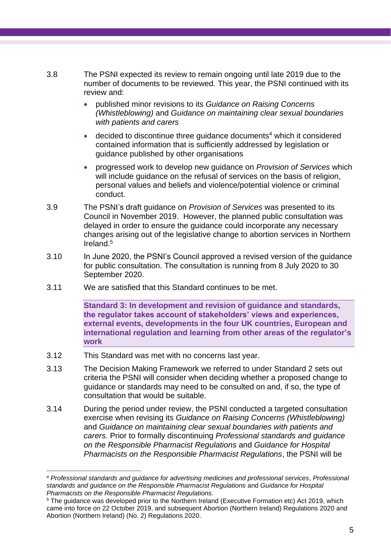- 3.8 The PSNI expected its review to remain ongoing until late 2019 due to the number of documents to be reviewed. This year, the PSNI continued with its review and:
	- published minor revisions to its *Guidance on Raising Concerns (Whistleblowing)* and *Guidance on maintaining clear sexual boundaries with patients and carers*
	- decided to discontinue three guidance documents<sup>4</sup> which it considered contained information that is sufficiently addressed by legislation or guidance published by other organisations
	- progressed work to develop new guidance on *Provision of Services* which will include guidance on the refusal of services on the basis of religion, personal values and beliefs and violence/potential violence or criminal conduct.
- 3.9 The PSNI's draft guidance on *Provision of Services* was presented to its Council in November 2019. However, the planned public consultation was delayed in order to ensure the guidance could incorporate any necessary changes arising out of the legislative change to abortion services in Northern Ireland.<sup>5</sup>
- 3.10 In June 2020, the PSNI's Council approved a revised version of the guidance for public consultation. The consultation is running from 8 July 2020 to 30 September 2020.
- 3.11 We are satisfied that this Standard continues to be met.

**Standard 3: In development and revision of guidance and standards, the regulator takes account of stakeholders' views and experiences, external events, developments in the four UK countries, European and international regulation and learning from other areas of the regulator's work**

- 3.12 This Standard was met with no concerns last year.
- 3.13 The Decision Making Framework we referred to under Standard 2 sets out criteria the PSNI will consider when deciding whether a proposed change to guidance or standards may need to be consulted on and, if so, the type of consultation that would be suitable.
- 3.14 During the period under review, the PSNI conducted a targeted consultation exercise when revising its *Guidance on Raising Concerns (Whistleblowing)* and *Guidance on maintaining clear sexual boundaries with patients and carers*. Prior to formally discontinuing *Professional standards and guidance on the Responsible Pharmacist Regulations* and *Guidance for Hospital Pharmacists on the Responsible Pharmacist Regulations*, the PSNI will be

<sup>4</sup> *Professional standards and guidance for advertising medicines and professional services*, *Professional standards and guidance on the Responsible Pharmacist Regulations* and *Guidance for Hospital Pharmacists on the Responsible Pharmacist Regulations.*

<sup>5</sup> The guidance was developed prior to the Northern Ireland (Executive Formation etc) Act 2019, which came into force on 22 October 2019, and subsequent Abortion (Northern Ireland) Regulations 2020 and Abortion (Northern Ireland) (No. 2) Regulations 2020.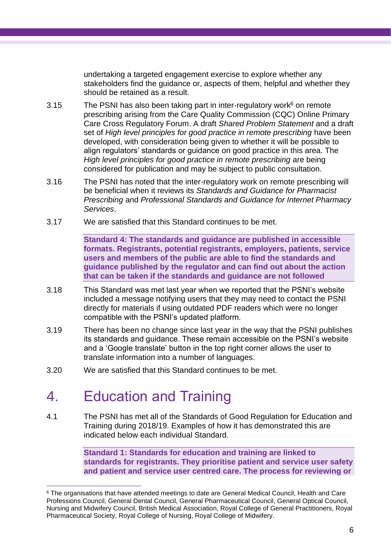undertaking a targeted engagement exercise to explore whether any stakeholders find the guidance or, aspects of them, helpful and whether they should be retained as a result.

- 3.15 The PSNI has also been taking part in inter-regulatory work $6$  on remote prescribing arising from the Care Quality Commission (CQC) Online Primary Care Cross Regulatory Forum. A draft *Shared Problem Statement* and a draft set of *High level principles for good practice in remote prescribing* have been developed, with consideration being given to whether it will be possible to align regulators' standards or guidance on good practice in this area. The *High level principles for good practice in remote prescribing* are being considered for publication and may be subject to public consultation.
- 3.16 The PSNI has noted that the inter-regulatory work on remote prescribing will be beneficial when it reviews its *Standards and Guidance for Pharmacist Prescribing* and *Professional Standards and Guidance for Internet Pharmacy Services*.
- 3.17 We are satisfied that this Standard continues to be met.

**Standard 4: The standards and guidance are published in accessible formats. Registrants, potential registrants, employers, patients, service users and members of the public are able to find the standards and guidance published by the regulator and can find out about the action that can be taken if the standards and guidance are not followed**

- 3.18 This Standard was met last year when we reported that the PSNI's website included a message notifying users that they may need to contact the PSNI directly for materials if using outdated PDF readers which were no longer compatible with the PSNI's updated platform.
- 3.19 There has been no change since last year in the way that the PSNI publishes its standards and guidance. These remain accessible on the PSNI's website and a 'Google translate' button in the top right corner allows the user to translate information into a number of languages.
- <span id="page-9-0"></span>3.20 We are satisfied that this Standard continues to be met.

# 4. Education and Training

4.1 The PSNI has met all of the Standards of Good Regulation for Education and Training during 2018/19. Examples of how it has demonstrated this are indicated below each individual Standard.

> **Standard 1: Standards for education and training are linked to standards for registrants. They prioritise patient and service user safety and patient and service user centred care. The process for reviewing or**

<sup>6</sup> The organisations that have attended meetings to date are General Medical Council, Health and Care Professions Council, General Dental Council, General Pharmaceutical Council, General Optical Council, Nursing and Midwifery Council, British Medical Association, Royal College of General Practitioners, Royal Pharmaceutical Society, Royal College of Nursing, Royal College of Midwifery.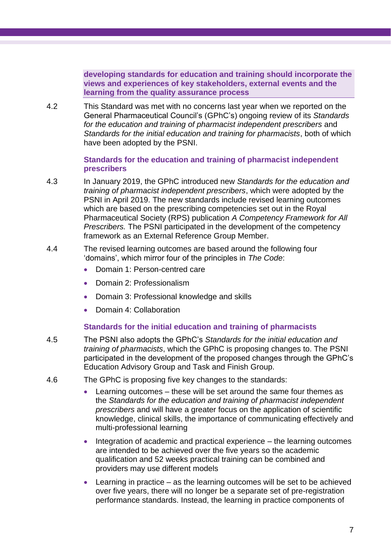**developing standards for education and training should incorporate the views and experiences of key stakeholders, external events and the learning from the quality assurance process**

4.2 This Standard was met with no concerns last year when we reported on the General Pharmaceutical Council's (GPhC's) ongoing review of its *Standards for the education and training of pharmacist independent prescribers* and *Standards for the initial education and training for pharmacists*, both of which have been adopted by the PSNI.

#### **Standards for the education and training of pharmacist independent prescribers**

- 4.3 In January 2019, the GPhC introduced new *Standards for the education and training of pharmacist independent prescribers*, which were adopted by the PSNI in April 2019. The new standards include revised learning outcomes which are based on the prescribing competencies set out in the Royal Pharmaceutical Society (RPS) publication *A Competency Framework for All Prescribers.* The PSNI participated in the development of the competency framework as an External Reference Group Member.
- 4.4 The revised learning outcomes are based around the following four 'domains', which mirror four of the principles in *The Code*:
	- Domain 1: Person-centred care
	- Domain 2: Professionalism
	- Domain 3: Professional knowledge and skills
	- Domain 4: Collaboration

#### **Standards for the initial education and training of pharmacists**

- 4.5 The PSNI also adopts the GPhC's *Standards for the initial education and training of pharmacists*, which the GPhC is proposing changes to. The PSNI participated in the development of the proposed changes through the GPhC's Education Advisory Group and Task and Finish Group.
- 4.6 The GPhC is proposing five key changes to the standards:
	- Learning outcomes these will be set around the same four themes as the *Standards for the education and training of pharmacist independent prescribers* and will have a greater focus on the application of scientific knowledge, clinical skills, the importance of communicating effectively and multi-professional learning
	- Integration of academic and practical experience the learning outcomes are intended to be achieved over the five years so the academic qualification and 52 weeks practical training can be combined and providers may use different models
	- Learning in practice  $-$  as the learning outcomes will be set to be achieved over five years, there will no longer be a separate set of pre-registration performance standards. Instead, the learning in practice components of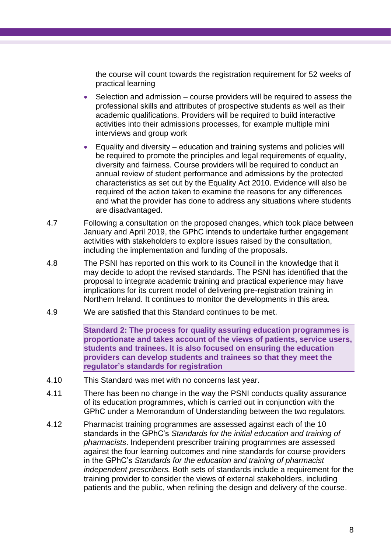the course will count towards the registration requirement for 52 weeks of practical learning

- Selection and admission course providers will be required to assess the professional skills and attributes of prospective students as well as their academic qualifications. Providers will be required to build interactive activities into their admissions processes, for example multiple mini interviews and group work
- Equality and diversity education and training systems and policies will be required to promote the principles and legal requirements of equality, diversity and fairness. Course providers will be required to conduct an annual review of student performance and admissions by the protected characteristics as set out by the Equality Act 2010. Evidence will also be required of the action taken to examine the reasons for any differences and what the provider has done to address any situations where students are disadvantaged.
- 4.7 Following a consultation on the proposed changes, which took place between January and April 2019, the GPhC intends to undertake further engagement activities with stakeholders to explore issues raised by the consultation, including the implementation and funding of the proposals.
- 4.8 The PSNI has reported on this work to its Council in the knowledge that it may decide to adopt the revised standards. The PSNI has identified that the proposal to integrate academic training and practical experience may have implications for its current model of delivering pre-registration training in Northern Ireland. It continues to monitor the developments in this area.
- 4.9 We are satisfied that this Standard continues to be met.

**Standard 2: The process for quality assuring education programmes is proportionate and takes account of the views of patients, service users, students and trainees. It is also focused on ensuring the education providers can develop students and trainees so that they meet the regulator's standards for registration**

- 4.10 This Standard was met with no concerns last year.
- 4.11 There has been no change in the way the PSNI conducts quality assurance of its education programmes, which is carried out in conjunction with the GPhC under a Memorandum of Understanding between the two regulators.
- 4.12 Pharmacist training programmes are assessed against each of the 10 standards in the GPhC's *Standards for the initial education and training of pharmacists*. Independent prescriber training programmes are assessed against the four learning outcomes and nine standards for course providers in the GPhC's *Standards for the education and training of pharmacist independent prescribers.* Both sets of standards include a requirement for the training provider to consider the views of external stakeholders, including patients and the public, when refining the design and delivery of the course.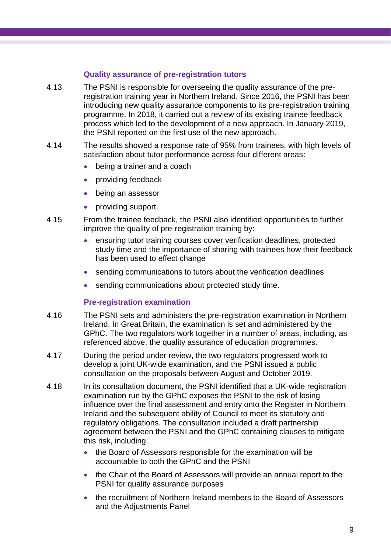#### **Quality assurance of pre-registration tutors**

- 4.13 The PSNI is responsible for overseeing the quality assurance of the preregistration training year in Northern Ireland. Since 2016, the PSNI has been introducing new quality assurance components to its pre-registration training programme. In 2018, it carried out a review of its existing trainee feedback process which led to the development of a new approach. In January 2019, the PSNI reported on the first use of the new approach.
- 4.14 The results showed a response rate of 95% from trainees, with high levels of satisfaction about tutor performance across four different areas:
	- being a trainer and a coach
	- providing feedback
	- being an assessor
	- providing support.
- 4.15 From the trainee feedback, the PSNI also identified opportunities to further improve the quality of pre-registration training by:
	- ensuring tutor training courses cover verification deadlines, protected study time and the importance of sharing with trainees how their feedback has been used to effect change
	- sending communications to tutors about the verification deadlines
	- sending communications about protected study time.

### **Pre-registration examination**

- 4.16 The PSNI sets and administers the pre-registration examination in Northern Ireland. In Great Britain, the examination is set and administered by the GPhC. The two regulators work together in a number of areas, including, as referenced above, the quality assurance of education programmes.
- 4.17 During the period under review, the two regulators progressed work to develop a joint UK-wide examination, and the PSNI issued a public consultation on the proposals between August and October 2019.
- 4.18 In its consultation document, the PSNI identified that a UK-wide registration examination run by the GPhC exposes the PSNI to the risk of losing influence over the final assessment and entry onto the Register in Northern Ireland and the subsequent ability of Council to meet its statutory and regulatory obligations. The consultation included a draft partnership agreement between the PSNI and the GPhC containing clauses to mitigate this risk, including:
	- the Board of Assessors responsible for the examination will be accountable to both the GPhC and the PSNI
	- the Chair of the Board of Assessors will provide an annual report to the PSNI for quality assurance purposes
	- the recruitment of Northern Ireland members to the Board of Assessors and the Adjustments Panel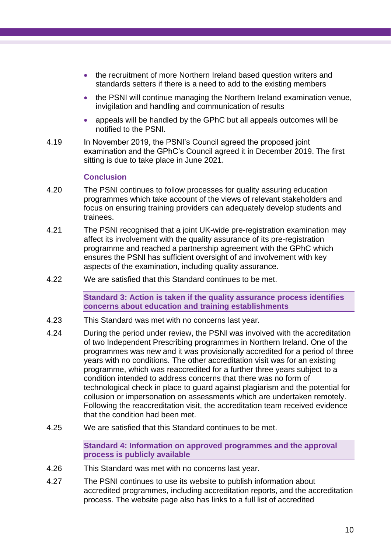- the recruitment of more Northern Ireland based question writers and standards setters if there is a need to add to the existing members
- the PSNI will continue managing the Northern Ireland examination venue, invigilation and handling and communication of results
- appeals will be handled by the GPhC but all appeals outcomes will be notified to the PSNI.
- 4.19 In November 2019, the PSNI's Council agreed the proposed joint examination and the GPhC's Council agreed it in December 2019. The first sitting is due to take place in June 2021.

#### **Conclusion**

- 4.20 The PSNI continues to follow processes for quality assuring education programmes which take account of the views of relevant stakeholders and focus on ensuring training providers can adequately develop students and trainees.
- 4.21 The PSNI recognised that a joint UK-wide pre-registration examination may affect its involvement with the quality assurance of its pre-registration programme and reached a partnership agreement with the GPhC which ensures the PSNI has sufficient oversight of and involvement with key aspects of the examination, including quality assurance.
- 4.22 We are satisfied that this Standard continues to be met.

**Standard 3: Action is taken if the quality assurance process identifies concerns about education and training establishments**

- 4.23 This Standard was met with no concerns last year.
- 4.24 During the period under review, the PSNI was involved with the accreditation of two Independent Prescribing programmes in Northern Ireland. One of the programmes was new and it was provisionally accredited for a period of three years with no conditions. The other accreditation visit was for an existing programme, which was reaccredited for a further three years subject to a condition intended to address concerns that there was no form of technological check in place to guard against plagiarism and the potential for collusion or impersonation on assessments which are undertaken remotely. Following the reaccreditation visit, the accreditation team received evidence that the condition had been met.
- 4.25 We are satisfied that this Standard continues to be met.

**Standard 4: Information on approved programmes and the approval process is publicly available**

- 4.26 This Standard was met with no concerns last year.
- 4.27 The PSNI continues to use its website to publish information about accredited programmes, including accreditation reports, and the accreditation process. The website page also has links to a full list of accredited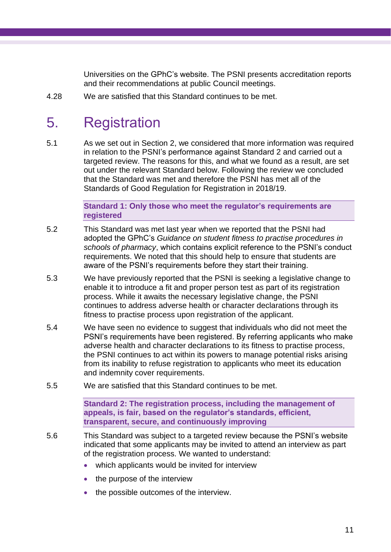Universities on the GPhC's website. The PSNI presents accreditation reports and their recommendations at public Council meetings.

<span id="page-14-0"></span>4.28 We are satisfied that this Standard continues to be met.

# 5. Registration

5.1 As we set out in Section 2, we considered that more information was required in relation to the PSNI's performance against Standard 2 and carried out a targeted review. The reasons for this, and what we found as a result, are set out under the relevant Standard below. Following the review we concluded that the Standard was met and therefore the PSNI has met all of the Standards of Good Regulation for Registration in 2018/19.

> **Standard 1: Only those who meet the regulator's requirements are registered**

- 5.2 This Standard was met last year when we reported that the PSNI had adopted the GPhC's *Guidance on student fitness to practise procedures in schools of pharmacy*, which contains explicit reference to the PSNI's conduct requirements. We noted that this should help to ensure that students are aware of the PSNI's requirements before they start their training.
- 5.3 We have previously reported that the PSNI is seeking a legislative change to enable it to introduce a fit and proper person test as part of its registration process. While it awaits the necessary legislative change, the PSNI continues to address adverse health or character declarations through its fitness to practise process upon registration of the applicant.
- 5.4 We have seen no evidence to suggest that individuals who did not meet the PSNI's requirements have been registered. By referring applicants who make adverse health and character declarations to its fitness to practise process, the PSNI continues to act within its powers to manage potential risks arising from its inability to refuse registration to applicants who meet its education and indemnity cover requirements.
- 5.5 We are satisfied that this Standard continues to be met.

**Standard 2: The registration process, including the management of appeals, is fair, based on the regulator's standards, efficient, transparent, secure, and continuously improving**

- 5.6 This Standard was subject to a targeted review because the PSNI's website indicated that some applicants may be invited to attend an interview as part of the registration process. We wanted to understand:
	- which applicants would be invited for interview
	- the purpose of the interview
	- the possible outcomes of the interview.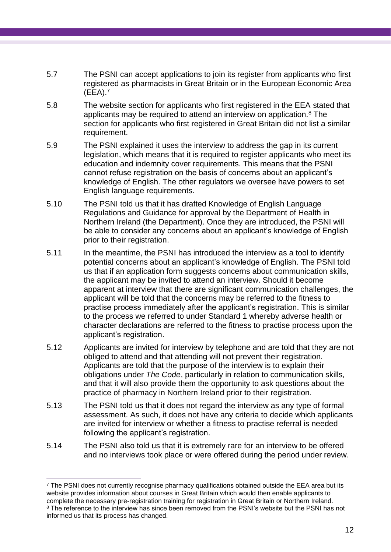- 5.7 The PSNI can accept applications to join its register from applicants who first registered as pharmacists in Great Britain or in the European Economic Area (EEA).<sup>7</sup>
- 5.8 The website section for applicants who first registered in the EEA stated that applicants may be required to attend an interview on application.<sup>8</sup> The section for applicants who first registered in Great Britain did not list a similar requirement.
- 5.9 The PSNI explained it uses the interview to address the gap in its current legislation, which means that it is required to register applicants who meet its education and indemnity cover requirements. This means that the PSNI cannot refuse registration on the basis of concerns about an applicant's knowledge of English. The other regulators we oversee have powers to set English language requirements.
- 5.10 The PSNI told us that it has drafted Knowledge of English Language Regulations and Guidance for approval by the Department of Health in Northern Ireland (the Department). Once they are introduced, the PSNI will be able to consider any concerns about an applicant's knowledge of English prior to their registration.
- 5.11 In the meantime, the PSNI has introduced the interview as a tool to identify potential concerns about an applicant's knowledge of English. The PSNI told us that if an application form suggests concerns about communication skills, the applicant may be invited to attend an interview. Should it become apparent at interview that there are significant communication challenges, the applicant will be told that the concerns may be referred to the fitness to practise process immediately after the applicant's registration. This is similar to the process we referred to under Standard 1 whereby adverse health or character declarations are referred to the fitness to practise process upon the applicant's registration.
- 5.12 Applicants are invited for interview by telephone and are told that they are not obliged to attend and that attending will not prevent their registration. Applicants are told that the purpose of the interview is to explain their obligations under *The Code*, particularly in relation to communication skills, and that it will also provide them the opportunity to ask questions about the practice of pharmacy in Northern Ireland prior to their registration.
- 5.13 The PSNI told us that it does not regard the interview as any type of formal assessment. As such, it does not have any criteria to decide which applicants are invited for interview or whether a fitness to practise referral is needed following the applicant's registration.
- 5.14 The PSNI also told us that it is extremely rare for an interview to be offered and no interviews took place or were offered during the period under review.

 $<sup>7</sup>$  The PSNI does not currently recognise pharmacy qualifications obtained outside the EEA area but its</sup> website provides information about courses in Great Britain which would then enable applicants to complete the necessary pre-registration training for registration in Great Britain or Northern Ireland. <sup>8</sup> The reference to the interview has since been removed from the PSNI's website but the PSNI has not informed us that its process has changed.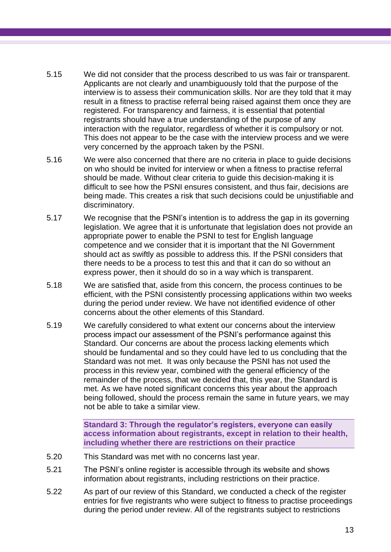- 5.15 We did not consider that the process described to us was fair or transparent. Applicants are not clearly and unambiguously told that the purpose of the interview is to assess their communication skills. Nor are they told that it may result in a fitness to practise referral being raised against them once they are registered. For transparency and fairness, it is essential that potential registrants should have a true understanding of the purpose of any interaction with the regulator, regardless of whether it is compulsory or not. This does not appear to be the case with the interview process and we were very concerned by the approach taken by the PSNI.
- 5.16 We were also concerned that there are no criteria in place to guide decisions on who should be invited for interview or when a fitness to practise referral should be made. Without clear criteria to guide this decision-making it is difficult to see how the PSNI ensures consistent, and thus fair, decisions are being made. This creates a risk that such decisions could be unjustifiable and discriminatory.
- 5.17 We recognise that the PSNI's intention is to address the gap in its governing legislation. We agree that it is unfortunate that legislation does not provide an appropriate power to enable the PSNI to test for English language competence and we consider that it is important that the NI Government should act as swiftly as possible to address this. If the PSNI considers that there needs to be a process to test this and that it can do so without an express power, then it should do so in a way which is transparent.
- 5.18 We are satisfied that, aside from this concern, the process continues to be efficient, with the PSNI consistently processing applications within two weeks during the period under review. We have not identified evidence of other concerns about the other elements of this Standard.
- 5.19 We carefully considered to what extent our concerns about the interview process impact our assessment of the PSNI's performance against this Standard. Our concerns are about the process lacking elements which should be fundamental and so they could have led to us concluding that the Standard was not met. It was only because the PSNI has not used the process in this review year, combined with the general efficiency of the remainder of the process, that we decided that, this year, the Standard is met. As we have noted significant concerns this year about the approach being followed, should the process remain the same in future years, we may not be able to take a similar view.

**Standard 3: Through the regulator's registers, everyone can easily access information about registrants, except in relation to their health, including whether there are restrictions on their practice**

- 5.20 This Standard was met with no concerns last year.
- 5.21 The PSNI's online register is accessible through its website and shows information about registrants, including restrictions on their practice.
- 5.22 As part of our review of this Standard, we conducted a check of the register entries for five registrants who were subject to fitness to practise proceedings during the period under review. All of the registrants subject to restrictions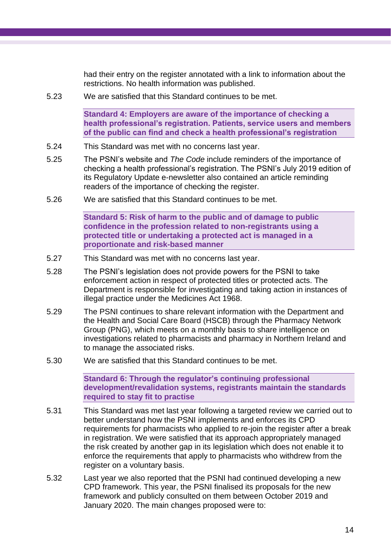had their entry on the register annotated with a link to information about the restrictions. No health information was published.

5.23 We are satisfied that this Standard continues to be met.

**Standard 4: Employers are aware of the importance of checking a health professional's registration. Patients, service users and members of the public can find and check a health professional's registration**

- 5.24 This Standard was met with no concerns last year.
- 5.25 The PSNI's website and *The Code* include reminders of the importance of checking a health professional's registration. The PSNI's July 2019 edition of its Regulatory Update e-newsletter also contained an article reminding readers of the importance of checking the register.
- 5.26 We are satisfied that this Standard continues to be met.

**Standard 5: Risk of harm to the public and of damage to public confidence in the profession related to non-registrants using a protected title or undertaking a protected act is managed in a proportionate and risk-based manner**

- 5.27 This Standard was met with no concerns last year.
- 5.28 The PSNI's legislation does not provide powers for the PSNI to take enforcement action in respect of protected titles or protected acts. The Department is responsible for investigating and taking action in instances of illegal practice under the Medicines Act 1968.
- 5.29 The PSNI continues to share relevant information with the Department and the Health and Social Care Board (HSCB) through the Pharmacy Network Group (PNG), which meets on a monthly basis to share intelligence on investigations related to pharmacists and pharmacy in Northern Ireland and to manage the associated risks.
- 5.30 We are satisfied that this Standard continues to be met.

**Standard 6: Through the regulator's continuing professional development/revalidation systems, registrants maintain the standards required to stay fit to practise**

- 5.31 This Standard was met last year following a targeted review we carried out to better understand how the PSNI implements and enforces its CPD requirements for pharmacists who applied to re-join the register after a break in registration. We were satisfied that its approach appropriately managed the risk created by another gap in its legislation which does not enable it to enforce the requirements that apply to pharmacists who withdrew from the register on a voluntary basis.
- 5.32 Last year we also reported that the PSNI had continued developing a new CPD framework. This year, the PSNI finalised its proposals for the new framework and publicly consulted on them between October 2019 and January 2020. The main changes proposed were to: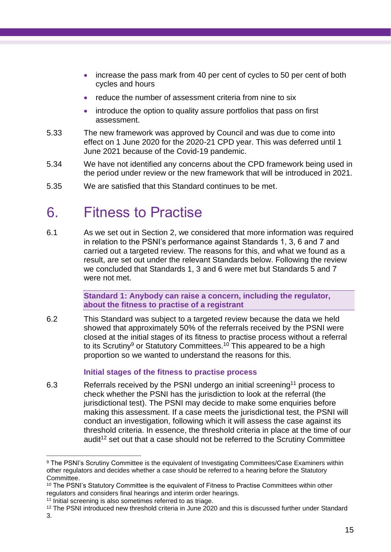- increase the pass mark from 40 per cent of cycles to 50 per cent of both cycles and hours
- reduce the number of assessment criteria from nine to six
- introduce the option to quality assure portfolios that pass on first assessment.
- 5.33 The new framework was approved by Council and was due to come into effect on 1 June 2020 for the 2020-21 CPD year. This was deferred until 1 June 2021 because of the Covid-19 pandemic.
- 5.34 We have not identified any concerns about the CPD framework being used in the period under review or the new framework that will be introduced in 2021.
- <span id="page-18-0"></span>5.35 We are satisfied that this Standard continues to be met.

## 6. Fitness to Practise

6.1 As we set out in Section 2, we considered that more information was required in relation to the PSNI's performance against Standards 1, 3, 6 and 7 and carried out a targeted review. The reasons for this, and what we found as a result, are set out under the relevant Standards below. Following the review we concluded that Standards 1, 3 and 6 were met but Standards 5 and 7 were not met.

> **Standard 1: Anybody can raise a concern, including the regulator, about the fitness to practise of a registrant**

6.2 This Standard was subject to a targeted review because the data we held showed that approximately 50% of the referrals received by the PSNI were closed at the initial stages of its fitness to practise process without a referral to its Scrutiny<sup>9</sup> or Statutory Committees.<sup>10</sup> This appeared to be a high proportion so we wanted to understand the reasons for this.

#### **Initial stages of the fitness to practise process**

6.3 Referrals received by the PSNI undergo an initial screening<sup>11</sup> process to check whether the PSNI has the jurisdiction to look at the referral (the jurisdictional test). The PSNI may decide to make some enquiries before making this assessment. If a case meets the jurisdictional test, the PSNI will conduct an investigation, following which it will assess the case against its threshold criteria. In essence, the threshold criteria in place at the time of our audit<sup>12</sup> set out that a case should not be referred to the Scrutiny Committee

<sup>&</sup>lt;sup>9</sup> The PSNI's Scrutiny Committee is the equivalent of Investigating Committees/Case Examiners within other regulators and decides whether a case should be referred to a hearing before the Statutory Committee.

<sup>&</sup>lt;sup>10</sup> The PSNI's Statutory Committee is the equivalent of Fitness to Practise Committees within other regulators and considers final hearings and interim order hearings.

<sup>&</sup>lt;sup>11</sup> Initial screening is also sometimes referred to as triage.

<sup>12</sup> The PSNI introduced new threshold criteria in June 2020 and this is discussed further under Standard 3.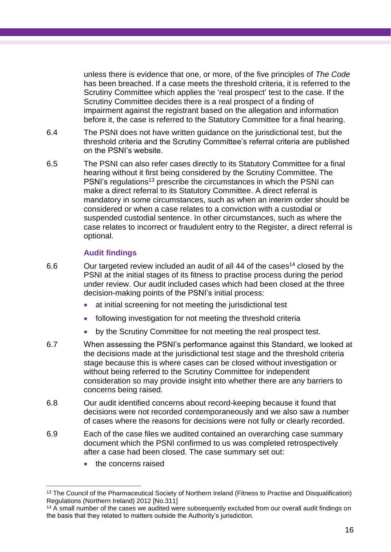unless there is evidence that one, or more, of the five principles of *The Code* has been breached. If a case meets the threshold criteria, it is referred to the Scrutiny Committee which applies the 'real prospect' test to the case. If the Scrutiny Committee decides there is a real prospect of a finding of impairment against the registrant based on the allegation and information before it, the case is referred to the Statutory Committee for a final hearing.

- 6.4 The PSNI does not have written guidance on the jurisdictional test, but the threshold criteria and the Scrutiny Committee's referral criteria are published on the PSNI's website.
- 6.5 The PSNI can also refer cases directly to its Statutory Committee for a final hearing without it first being considered by the Scrutiny Committee. The PSNI's regulations<sup>13</sup> prescribe the circumstances in which the PSNI can make a direct referral to its Statutory Committee. A direct referral is mandatory in some circumstances, such as when an interim order should be considered or when a case relates to a conviction with a custodial or suspended custodial sentence. In other circumstances, such as where the case relates to incorrect or fraudulent entry to the Register, a direct referral is optional.

### **Audit findings**

- 6.6 Our targeted review included an audit of all 44 of the cases<sup>14</sup> closed by the PSNI at the initial stages of its fitness to practise process during the period under review. Our audit included cases which had been closed at the three decision-making points of the PSNI's initial process:
	- at initial screening for not meeting the jurisdictional test
	- following investigation for not meeting the threshold criteria
	- by the Scrutiny Committee for not meeting the real prospect test.
- 6.7 When assessing the PSNI's performance against this Standard, we looked at the decisions made at the jurisdictional test stage and the threshold criteria stage because this is where cases can be closed without investigation or without being referred to the Scrutiny Committee for independent consideration so may provide insight into whether there are any barriers to concerns being raised.
- 6.8 Our audit identified concerns about record-keeping because it found that decisions were not recorded contemporaneously and we also saw a number of cases where the reasons for decisions were not fully or clearly recorded.
- 6.9 Each of the case files we audited contained an overarching case summary document which the PSNI confirmed to us was completed retrospectively after a case had been closed. The case summary set out:
	- the concerns raised

<sup>13</sup> The Council of the Pharmaceutical Society of Northern Ireland (Fitness to Practise and Disqualification) Regulations (Northern Ireland) 2012 [No.311]

<sup>&</sup>lt;sup>14</sup> A small number of the cases we audited were subsequently excluded from our overall audit findings on the basis that they related to matters outside the Authority's jurisdiction.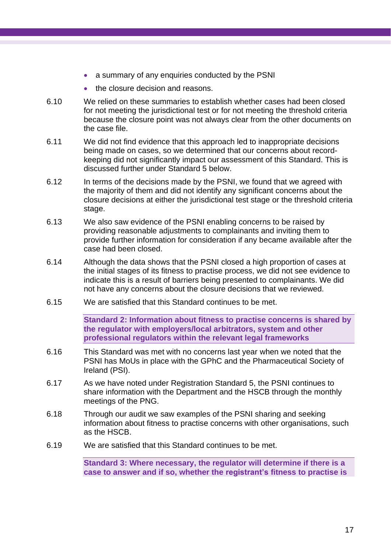- a summary of any enquiries conducted by the PSNI
- the closure decision and reasons.
- 6.10 We relied on these summaries to establish whether cases had been closed for not meeting the jurisdictional test or for not meeting the threshold criteria because the closure point was not always clear from the other documents on the case file.
- 6.11 We did not find evidence that this approach led to inappropriate decisions being made on cases, so we determined that our concerns about recordkeeping did not significantly impact our assessment of this Standard. This is discussed further under Standard 5 below.
- 6.12 In terms of the decisions made by the PSNI, we found that we agreed with the majority of them and did not identify any significant concerns about the closure decisions at either the jurisdictional test stage or the threshold criteria stage.
- 6.13 We also saw evidence of the PSNI enabling concerns to be raised by providing reasonable adjustments to complainants and inviting them to provide further information for consideration if any became available after the case had been closed.
- 6.14 Although the data shows that the PSNI closed a high proportion of cases at the initial stages of its fitness to practise process, we did not see evidence to indicate this is a result of barriers being presented to complainants. We did not have any concerns about the closure decisions that we reviewed.
- 6.15 We are satisfied that this Standard continues to be met.

**Standard 2: Information about fitness to practise concerns is shared by the regulator with employers/local arbitrators, system and other professional regulators within the relevant legal frameworks**

- 6.16 This Standard was met with no concerns last year when we noted that the PSNI has MoUs in place with the GPhC and the Pharmaceutical Society of Ireland (PSI).
- 6.17 As we have noted under Registration Standard 5, the PSNI continues to share information with the Department and the HSCB through the monthly meetings of the PNG.
- 6.18 Through our audit we saw examples of the PSNI sharing and seeking information about fitness to practise concerns with other organisations, such as the HSCB.
- 6.19 We are satisfied that this Standard continues to be met.

**Standard 3: Where necessary, the regulator will determine if there is a case to answer and if so, whether the registrant's fitness to practise is**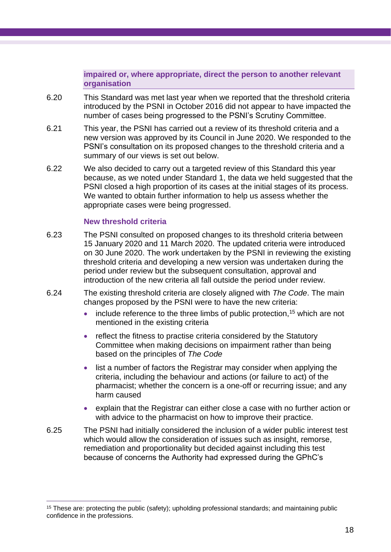#### **impaired or, where appropriate, direct the person to another relevant organisation**

- 6.20 This Standard was met last year when we reported that the threshold criteria introduced by the PSNI in October 2016 did not appear to have impacted the number of cases being progressed to the PSNI's Scrutiny Committee.
- 6.21 This year, the PSNI has carried out a review of its threshold criteria and a new version was approved by its Council in June 2020. We responded to the PSNI's consultation on its proposed changes to the threshold criteria and a summary of our views is set out below.
- 6.22 We also decided to carry out a targeted review of this Standard this year because, as we noted under Standard 1, the data we held suggested that the PSNI closed a high proportion of its cases at the initial stages of its process. We wanted to obtain further information to help us assess whether the appropriate cases were being progressed.

#### **New threshold criteria**

- 6.23 The PSNI consulted on proposed changes to its threshold criteria between 15 January 2020 and 11 March 2020. The updated criteria were introduced on 30 June 2020. The work undertaken by the PSNI in reviewing the existing threshold criteria and developing a new version was undertaken during the period under review but the subsequent consultation, approval and introduction of the new criteria all fall outside the period under review.
- 6.24 The existing threshold criteria are closely aligned with *The Code*. The main changes proposed by the PSNI were to have the new criteria:
	- include reference to the three limbs of public protection,  $15$  which are not mentioned in the existing criteria
	- reflect the fitness to practise criteria considered by the Statutory Committee when making decisions on impairment rather than being based on the principles of *The Code*
	- list a number of factors the Registrar may consider when applying the criteria, including the behaviour and actions (or failure to act) of the pharmacist; whether the concern is a one-off or recurring issue; and any harm caused
	- explain that the Registrar can either close a case with no further action or with advice to the pharmacist on how to improve their practice.
- 6.25 The PSNI had initially considered the inclusion of a wider public interest test which would allow the consideration of issues such as insight, remorse, remediation and proportionality but decided against including this test because of concerns the Authority had expressed during the GPhC's

<sup>&</sup>lt;sup>15</sup> These are: protecting the public (safety); upholding professional standards; and maintaining public confidence in the professions.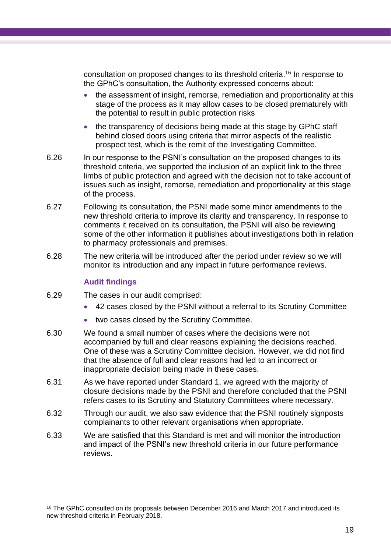consultation on proposed changes to its threshold criteria. <sup>16</sup> In response to the GPhC's consultation, the Authority expressed concerns about:

- the assessment of insight, remorse, remediation and proportionality at this stage of the process as it may allow cases to be closed prematurely with the potential to result in public protection risks
- the transparency of decisions being made at this stage by GPhC staff behind closed doors using criteria that mirror aspects of the realistic prospect test, which is the remit of the Investigating Committee.
- 6.26 In our response to the PSNI's consultation on the proposed changes to its threshold criteria, we supported the inclusion of an explicit link to the three limbs of public protection and agreed with the decision not to take account of issues such as insight, remorse, remediation and proportionality at this stage of the process.
- 6.27 Following its consultation, the PSNI made some minor amendments to the new threshold criteria to improve its clarity and transparency. In response to comments it received on its consultation, the PSNI will also be reviewing some of the other information it publishes about investigations both in relation to pharmacy professionals and premises.
- 6.28 The new criteria will be introduced after the period under review so we will monitor its introduction and any impact in future performance reviews.

#### **Audit findings**

- 6.29 The cases in our audit comprised:
	- 42 cases closed by the PSNI without a referral to its Scrutiny Committee
	- two cases closed by the Scrutiny Committee.
- 6.30 We found a small number of cases where the decisions were not accompanied by full and clear reasons explaining the decisions reached. One of these was a Scrutiny Committee decision. However, we did not find that the absence of full and clear reasons had led to an incorrect or inappropriate decision being made in these cases.
- 6.31 As we have reported under Standard 1, we agreed with the majority of closure decisions made by the PSNI and therefore concluded that the PSNI refers cases to its Scrutiny and Statutory Committees where necessary.
- 6.32 Through our audit, we also saw evidence that the PSNI routinely signposts complainants to other relevant organisations when appropriate.
- 6.33 We are satisfied that this Standard is met and will monitor the introduction and impact of the PSNI's new threshold criteria in our future performance reviews.

<sup>&</sup>lt;sup>16</sup> The GPhC consulted on its proposals between December 2016 and March 2017 and introduced its new threshold criteria in February 2018.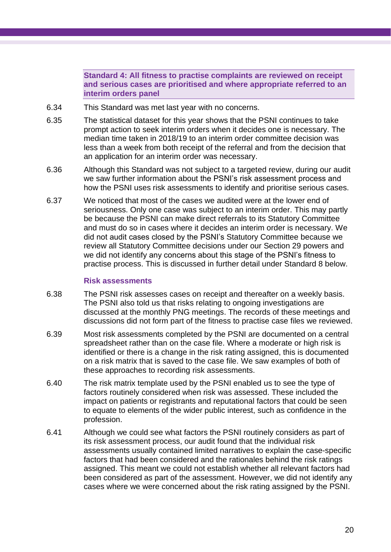**Standard 4: All fitness to practise complaints are reviewed on receipt and serious cases are prioritised and where appropriate referred to an interim orders panel**

- 6.34 This Standard was met last year with no concerns.
- 6.35 The statistical dataset for this year shows that the PSNI continues to take prompt action to seek interim orders when it decides one is necessary. The median time taken in 2018/19 to an interim order committee decision was less than a week from both receipt of the referral and from the decision that an application for an interim order was necessary.
- 6.36 Although this Standard was not subject to a targeted review, during our audit we saw further information about the PSNI's risk assessment process and how the PSNI uses risk assessments to identify and prioritise serious cases.
- 6.37 We noticed that most of the cases we audited were at the lower end of seriousness. Only one case was subject to an interim order. This may partly be because the PSNI can make direct referrals to its Statutory Committee and must do so in cases where it decides an interim order is necessary. We did not audit cases closed by the PSNI's Statutory Committee because we review all Statutory Committee decisions under our Section 29 powers and we did not identify any concerns about this stage of the PSNI's fitness to practise process. This is discussed in further detail under Standard 8 below.

#### **Risk assessments**

- 6.38 The PSNI risk assesses cases on receipt and thereafter on a weekly basis. The PSNI also told us that risks relating to ongoing investigations are discussed at the monthly PNG meetings. The records of these meetings and discussions did not form part of the fitness to practise case files we reviewed.
- 6.39 Most risk assessments completed by the PSNI are documented on a central spreadsheet rather than on the case file. Where a moderate or high risk is identified or there is a change in the risk rating assigned, this is documented on a risk matrix that is saved to the case file. We saw examples of both of these approaches to recording risk assessments.
- 6.40 The risk matrix template used by the PSNI enabled us to see the type of factors routinely considered when risk was assessed. These included the impact on patients or registrants and reputational factors that could be seen to equate to elements of the wider public interest, such as confidence in the profession.
- 6.41 Although we could see what factors the PSNI routinely considers as part of its risk assessment process, our audit found that the individual risk assessments usually contained limited narratives to explain the case-specific factors that had been considered and the rationales behind the risk ratings assigned. This meant we could not establish whether all relevant factors had been considered as part of the assessment. However, we did not identify any cases where we were concerned about the risk rating assigned by the PSNI.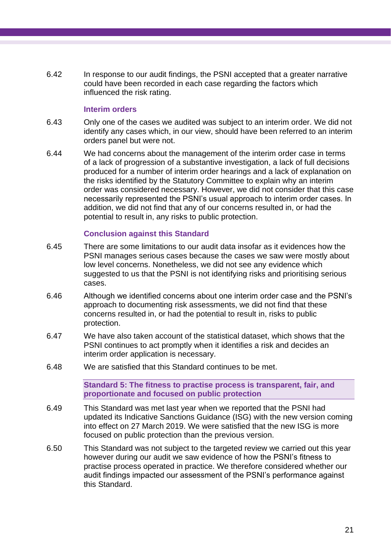6.42 In response to our audit findings, the PSNI accepted that a greater narrative could have been recorded in each case regarding the factors which influenced the risk rating.

#### **Interim orders**

- 6.43 Only one of the cases we audited was subject to an interim order. We did not identify any cases which, in our view, should have been referred to an interim orders panel but were not.
- 6.44 We had concerns about the management of the interim order case in terms of a lack of progression of a substantive investigation, a lack of full decisions produced for a number of interim order hearings and a lack of explanation on the risks identified by the Statutory Committee to explain why an interim order was considered necessary. However, we did not consider that this case necessarily represented the PSNI's usual approach to interim order cases. In addition, we did not find that any of our concerns resulted in, or had the potential to result in, any risks to public protection.

#### **Conclusion against this Standard**

- 6.45 There are some limitations to our audit data insofar as it evidences how the PSNI manages serious cases because the cases we saw were mostly about low level concerns. Nonetheless, we did not see any evidence which suggested to us that the PSNI is not identifying risks and prioritising serious cases.
- 6.46 Although we identified concerns about one interim order case and the PSNI's approach to documenting risk assessments, we did not find that these concerns resulted in, or had the potential to result in, risks to public protection.
- 6.47 We have also taken account of the statistical dataset, which shows that the PSNI continues to act promptly when it identifies a risk and decides an interim order application is necessary.
- 6.48 We are satisfied that this Standard continues to be met.

**Standard 5: The fitness to practise process is transparent, fair, and proportionate and focused on public protection**

- 6.49 This Standard was met last year when we reported that the PSNI had updated its Indicative Sanctions Guidance (ISG) with the new version coming into effect on 27 March 2019. We were satisfied that the new ISG is more focused on public protection than the previous version.
- 6.50 This Standard was not subject to the targeted review we carried out this year however during our audit we saw evidence of how the PSNI's fitness to practise process operated in practice. We therefore considered whether our audit findings impacted our assessment of the PSNI's performance against this Standard.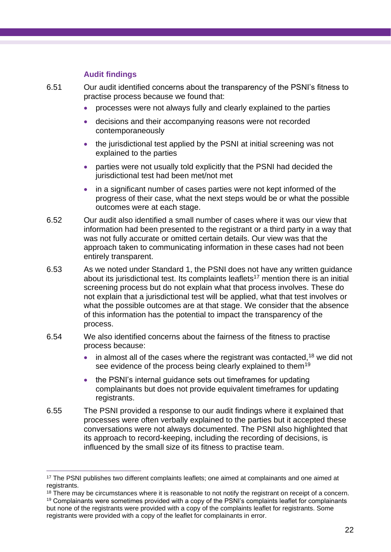### **Audit findings**

6.51 Our audit identified concerns about the transparency of the PSNI's fitness to practise process because we found that:

- processes were not always fully and clearly explained to the parties
- decisions and their accompanying reasons were not recorded contemporaneously
- the jurisdictional test applied by the PSNI at initial screening was not explained to the parties
- parties were not usually told explicitly that the PSNI had decided the jurisdictional test had been met/not met
- in a significant number of cases parties were not kept informed of the progress of their case, what the next steps would be or what the possible outcomes were at each stage.
- 6.52 Our audit also identified a small number of cases where it was our view that information had been presented to the registrant or a third party in a way that was not fully accurate or omitted certain details. Our view was that the approach taken to communicating information in these cases had not been entirely transparent.
- 6.53 As we noted under Standard 1, the PSNI does not have any written guidance about its jurisdictional test. Its complaints leaflets<sup>17</sup> mention there is an initial screening process but do not explain what that process involves. These do not explain that a jurisdictional test will be applied, what that test involves or what the possible outcomes are at that stage. We consider that the absence of this information has the potential to impact the transparency of the process.
- 6.54 We also identified concerns about the fairness of the fitness to practise process because:
	- in almost all of the cases where the registrant was contacted,  $18$  we did not see evidence of the process being clearly explained to them<sup>19</sup>
	- the PSNI's internal guidance sets out timeframes for updating complainants but does not provide equivalent timeframes for updating registrants.
- 6.55 The PSNI provided a response to our audit findings where it explained that processes were often verbally explained to the parties but it accepted these conversations were not always documented. The PSNI also highlighted that its approach to record-keeping, including the recording of decisions, is influenced by the small size of its fitness to practise team.

<sup>&</sup>lt;sup>17</sup> The PSNI publishes two different complaints leaflets; one aimed at complainants and one aimed at registrants.

<sup>&</sup>lt;sup>18</sup> There may be circumstances where it is reasonable to not notify the registrant on receipt of a concern.

<sup>&</sup>lt;sup>19</sup> Complainants were sometimes provided with a copy of the PSNI's complaints leaflet for complainants but none of the registrants were provided with a copy of the complaints leaflet for registrants. Some registrants were provided with a copy of the leaflet for complainants in error.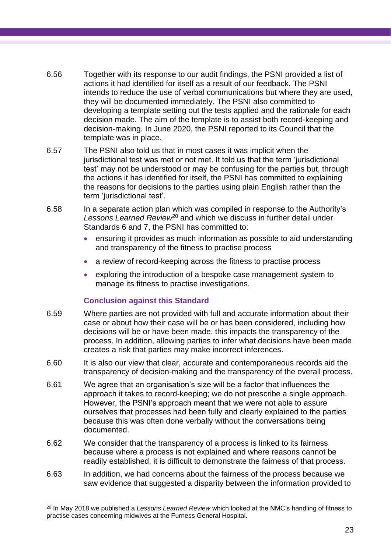- 6.56 Together with its response to our audit findings, the PSNI provided a list of actions it had identified for itself as a result of our feedback. The PSNI intends to reduce the use of verbal communications but where they are used, they will be documented immediately. The PSNI also committed to developing a template setting out the tests applied and the rationale for each decision made. The aim of the template is to assist both record-keeping and decision-making. In June 2020, the PSNI reported to its Council that the template was in place.
- 6.57 The PSNI also told us that in most cases it was implicit when the jurisdictional test was met or not met. It told us that the term 'jurisdictional test' may not be understood or may be confusing for the parties but, through the actions it has identified for itself, the PSNI has committed to explaining the reasons for decisions to the parties using plain English rather than the term 'jurisdictional test'.
- 6.58 In a separate action plan which was compiled in response to the Authority's Lessons Learned Review<sup>20</sup> and which we discuss in further detail under Standards 6 and 7, the PSNI has committed to:
	- ensuring it provides as much information as possible to aid understanding and transparency of the fitness to practise process
	- a review of record-keeping across the fitness to practise process
	- exploring the introduction of a bespoke case management system to manage its fitness to practise investigations.

### **Conclusion against this Standard**

- 6.59 Where parties are not provided with full and accurate information about their case or about how their case will be or has been considered, including how decisions will be or have been made, this impacts the transparency of the process. In addition, allowing parties to infer what decisions have been made creates a risk that parties may make incorrect inferences.
- 6.60 It is also our view that clear, accurate and contemporaneous records aid the transparency of decision-making and the transparency of the overall process.
- 6.61 We agree that an organisation's size will be a factor that influences the approach it takes to record-keeping; we do not prescribe a single approach. However, the PSNI's approach meant that we were not able to assure ourselves that processes had been fully and clearly explained to the parties because this was often done verbally without the conversations being documented.
- 6.62 We consider that the transparency of a process is linked to its fairness because where a process is not explained and where reasons cannot be readily established, it is difficult to demonstrate the fairness of that process.
- 6.63 In addition, we had concerns about the fairness of the process because we saw evidence that suggested a disparity between the information provided to

<sup>20</sup> In May 2018 we published a *Lessons Learned Review* which looked at the NMC's handling of fitness to practise cases concerning midwives at the Furness General Hospital.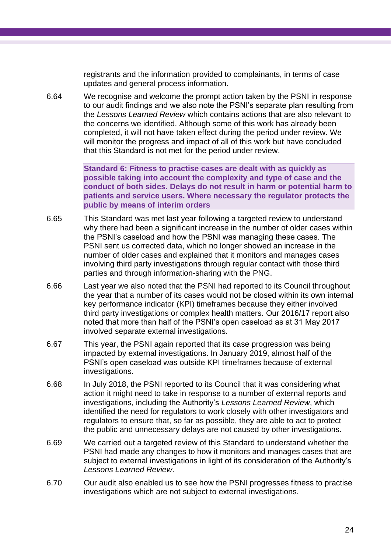registrants and the information provided to complainants, in terms of case updates and general process information.

6.64 We recognise and welcome the prompt action taken by the PSNI in response to our audit findings and we also note the PSNI's separate plan resulting from the *Lessons Learned Review* which contains actions that are also relevant to the concerns we identified. Although some of this work has already been completed, it will not have taken effect during the period under review. We will monitor the progress and impact of all of this work but have concluded that this Standard is not met for the period under review.

> **Standard 6: Fitness to practise cases are dealt with as quickly as possible taking into account the complexity and type of case and the conduct of both sides. Delays do not result in harm or potential harm to patients and service users. Where necessary the regulator protects the public by means of interim orders**

- 6.65 This Standard was met last year following a targeted review to understand why there had been a significant increase in the number of older cases within the PSNI's caseload and how the PSNI was managing these cases. The PSNI sent us corrected data, which no longer showed an increase in the number of older cases and explained that it monitors and manages cases involving third party investigations through regular contact with those third parties and through information-sharing with the PNG.
- 6.66 Last year we also noted that the PSNI had reported to its Council throughout the year that a number of its cases would not be closed within its own internal key performance indicator (KPI) timeframes because they either involved third party investigations or complex health matters. Our 2016/17 report also noted that more than half of the PSNI's open caseload as at 31 May 2017 involved separate external investigations.
- 6.67 This year, the PSNI again reported that its case progression was being impacted by external investigations. In January 2019, almost half of the PSNI's open caseload was outside KPI timeframes because of external investigations.
- 6.68 In July 2018, the PSNI reported to its Council that it was considering what action it might need to take in response to a number of external reports and investigations, including the Authority's *Lessons Learned Review*, which identified the need for regulators to work closely with other investigators and regulators to ensure that, so far as possible, they are able to act to protect the public and unnecessary delays are not caused by other investigations.
- 6.69 We carried out a targeted review of this Standard to understand whether the PSNI had made any changes to how it monitors and manages cases that are subject to external investigations in light of its consideration of the Authority's *Lessons Learned Review*.
- 6.70 Our audit also enabled us to see how the PSNI progresses fitness to practise investigations which are not subject to external investigations.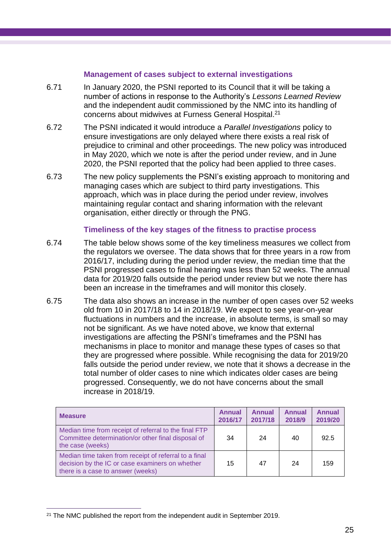#### **Management of cases subject to external investigations**

- 6.71 In January 2020, the PSNI reported to its Council that it will be taking a number of actions in response to the Authority's *Lessons Learned Review* and the independent audit commissioned by the NMC into its handling of concerns about midwives at Furness General Hospital.<sup>21</sup>
- 6.72 The PSNI indicated it would introduce a *Parallel Investigations* policy to ensure investigations are only delayed where there exists a real risk of prejudice to criminal and other proceedings. The new policy was introduced in May 2020, which we note is after the period under review, and in June 2020, the PSNI reported that the policy had been applied to three cases.
- 6.73 The new policy supplements the PSNI's existing approach to monitoring and managing cases which are subject to third party investigations. This approach, which was in place during the period under review, involves maintaining regular contact and sharing information with the relevant organisation, either directly or through the PNG.

#### **Timeliness of the key stages of the fitness to practise process**

- 6.74 The table below shows some of the key timeliness measures we collect from the regulators we oversee. The data shows that for three years in a row from 2016/17, including during the period under review, the median time that the PSNI progressed cases to final hearing was less than 52 weeks. The annual data for 2019/20 falls outside the period under review but we note there has been an increase in the timeframes and will monitor this closely.
- 6.75 The data also shows an increase in the number of open cases over 52 weeks old from 10 in 2017/18 to 14 in 2018/19. We expect to see year-on-year fluctuations in numbers and the increase, in absolute terms, is small so may not be significant. As we have noted above, we know that external investigations are affecting the PSNI's timeframes and the PSNI has mechanisms in place to monitor and manage these types of cases so that they are progressed where possible. While recognising the data for 2019/20 falls outside the period under review, we note that it shows a decrease in the total number of older cases to nine which indicates older cases are being progressed. Consequently, we do not have concerns about the small increase in 2018/19.

| <b>Measure</b>                                                                                                                                | <b>Annual</b><br>2016/17 | <b>Annual</b><br>2017/18 | <b>Annual</b><br>2018/9 | <b>Annual</b><br>2019/20 |
|-----------------------------------------------------------------------------------------------------------------------------------------------|--------------------------|--------------------------|-------------------------|--------------------------|
| Median time from receipt of referral to the final FTP<br>Committee determination/or other final disposal of<br>the case (weeks)               | 34                       | 24                       | 40                      | 92.5                     |
| Median time taken from receipt of referral to a final<br>decision by the IC or case examiners on whether<br>there is a case to answer (weeks) | 15                       | 47                       | 24                      | 159                      |

<sup>&</sup>lt;sup>21</sup> The NMC published the report from the independent audit in September 2019.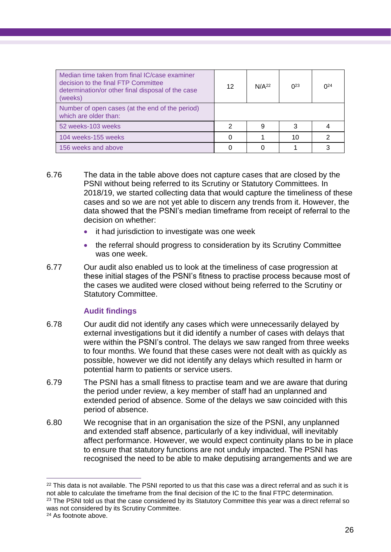| Median time taken from final IC/case examiner<br>decision to the final FTP Committee<br>determination/or other final disposal of the case<br>(weeks) | 12 | N/A <sup>22</sup> | $0^{23}$ | $0^{24}$ |
|------------------------------------------------------------------------------------------------------------------------------------------------------|----|-------------------|----------|----------|
| Number of open cases (at the end of the period)<br>which are older than:                                                                             |    |                   |          |          |
| 52 weeks-103 weeks                                                                                                                                   | າ  | 9                 | 3        |          |
| 104 weeks-155 weeks                                                                                                                                  |    |                   | 10       | 2        |
| 156 weeks and above                                                                                                                                  |    |                   |          |          |

- 6.76 The data in the table above does not capture cases that are closed by the PSNI without being referred to its Scrutiny or Statutory Committees. In 2018/19, we started collecting data that would capture the timeliness of these cases and so we are not yet able to discern any trends from it. However, the data showed that the PSNI's median timeframe from receipt of referral to the decision on whether:
	- it had jurisdiction to investigate was one week
	- the referral should progress to consideration by its Scrutiny Committee was one week.
- 6.77 Our audit also enabled us to look at the timeliness of case progression at these initial stages of the PSNI's fitness to practise process because most of the cases we audited were closed without being referred to the Scrutiny or Statutory Committee.

### **Audit findings**

- 6.78 Our audit did not identify any cases which were unnecessarily delayed by external investigations but it did identify a number of cases with delays that were within the PSNI's control. The delays we saw ranged from three weeks to four months. We found that these cases were not dealt with as quickly as possible, however we did not identify any delays which resulted in harm or potential harm to patients or service users.
- 6.79 The PSNI has a small fitness to practise team and we are aware that during the period under review, a key member of staff had an unplanned and extended period of absence. Some of the delays we saw coincided with this period of absence.
- 6.80 We recognise that in an organisation the size of the PSNI, any unplanned and extended staff absence, particularly of a key individual, will inevitably affect performance. However, we would expect continuity plans to be in place to ensure that statutory functions are not unduly impacted. The PSNI has recognised the need to be able to make deputising arrangements and we are

<sup>&</sup>lt;sup>22</sup> This data is not available. The PSNI reported to us that this case was a direct referral and as such it is not able to calculate the timeframe from the final decision of the IC to the final FTPC determination. <sup>23</sup> The PSNI told us that the case considered by its Statutory Committee this year was a direct referral so was not considered by its Scrutiny Committee.

<sup>24</sup> As footnote above.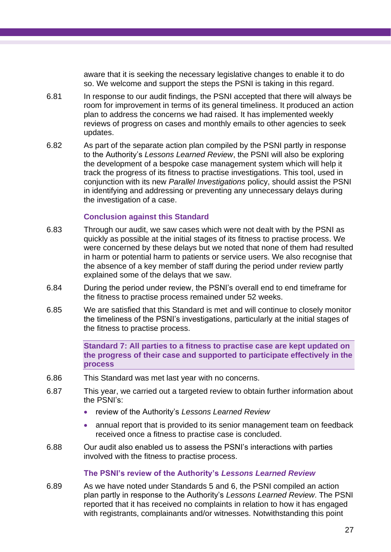aware that it is seeking the necessary legislative changes to enable it to do so. We welcome and support the steps the PSNI is taking in this regard.

- 6.81 In response to our audit findings, the PSNI accepted that there will always be room for improvement in terms of its general timeliness. It produced an action plan to address the concerns we had raised. It has implemented weekly reviews of progress on cases and monthly emails to other agencies to seek updates.
- 6.82 As part of the separate action plan compiled by the PSNI partly in response to the Authority's *Lessons Learned Review*, the PSNI will also be exploring the development of a bespoke case management system which will help it track the progress of its fitness to practise investigations. This tool, used in conjunction with its new *Parallel Investigations* policy, should assist the PSNI in identifying and addressing or preventing any unnecessary delays during the investigation of a case.

#### **Conclusion against this Standard**

- 6.83 Through our audit, we saw cases which were not dealt with by the PSNI as quickly as possible at the initial stages of its fitness to practise process. We were concerned by these delays but we noted that none of them had resulted in harm or potential harm to patients or service users. We also recognise that the absence of a key member of staff during the period under review partly explained some of the delays that we saw.
- 6.84 During the period under review, the PSNI's overall end to end timeframe for the fitness to practise process remained under 52 weeks.
- 6.85 We are satisfied that this Standard is met and will continue to closely monitor the timeliness of the PSNI's investigations, particularly at the initial stages of the fitness to practise process.

**Standard 7: All parties to a fitness to practise case are kept updated on the progress of their case and supported to participate effectively in the process**

- 6.86 This Standard was met last year with no concerns.
- 6.87 This year, we carried out a targeted review to obtain further information about the PSNI's:
	- review of the Authority's *Lessons Learned Review*
	- annual report that is provided to its senior management team on feedback received once a fitness to practise case is concluded.
- 6.88 Our audit also enabled us to assess the PSNI's interactions with parties involved with the fitness to practise process.

#### **The PSNI's review of the Authority's** *Lessons Learned Review*

6.89 As we have noted under Standards 5 and 6, the PSNI compiled an action plan partly in response to the Authority's *Lessons Learned Review*. The PSNI reported that it has received no complaints in relation to how it has engaged with registrants, complainants and/or witnesses. Notwithstanding this point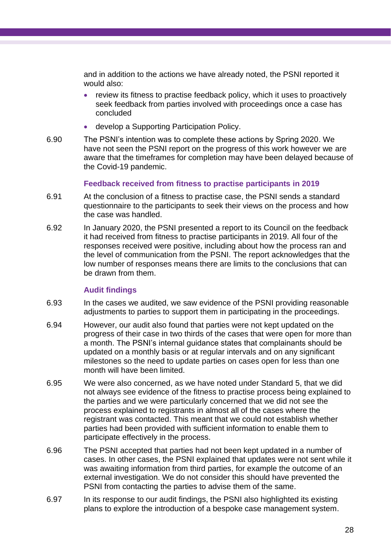and in addition to the actions we have already noted, the PSNI reported it would also:

- review its fitness to practise feedback policy, which it uses to proactively seek feedback from parties involved with proceedings once a case has concluded
- develop a Supporting Participation Policy.
- 6.90 The PSNI's intention was to complete these actions by Spring 2020. We have not seen the PSNI report on the progress of this work however we are aware that the timeframes for completion may have been delayed because of the Covid-19 pandemic.

#### **Feedback received from fitness to practise participants in 2019**

- 6.91 At the conclusion of a fitness to practise case, the PSNI sends a standard questionnaire to the participants to seek their views on the process and how the case was handled.
- 6.92 In January 2020, the PSNI presented a report to its Council on the feedback it had received from fitness to practise participants in 2019. All four of the responses received were positive, including about how the process ran and the level of communication from the PSNI. The report acknowledges that the low number of responses means there are limits to the conclusions that can be drawn from them.

#### **Audit findings**

- 6.93 In the cases we audited, we saw evidence of the PSNI providing reasonable adjustments to parties to support them in participating in the proceedings.
- 6.94 However, our audit also found that parties were not kept updated on the progress of their case in two thirds of the cases that were open for more than a month. The PSNI's internal guidance states that complainants should be updated on a monthly basis or at regular intervals and on any significant milestones so the need to update parties on cases open for less than one month will have been limited.
- 6.95 We were also concerned, as we have noted under Standard 5, that we did not always see evidence of the fitness to practise process being explained to the parties and we were particularly concerned that we did not see the process explained to registrants in almost all of the cases where the registrant was contacted. This meant that we could not establish whether parties had been provided with sufficient information to enable them to participate effectively in the process.
- 6.96 The PSNI accepted that parties had not been kept updated in a number of cases. In other cases, the PSNI explained that updates were not sent while it was awaiting information from third parties, for example the outcome of an external investigation. We do not consider this should have prevented the PSNI from contacting the parties to advise them of the same.
- 6.97 In its response to our audit findings, the PSNI also highlighted its existing plans to explore the introduction of a bespoke case management system.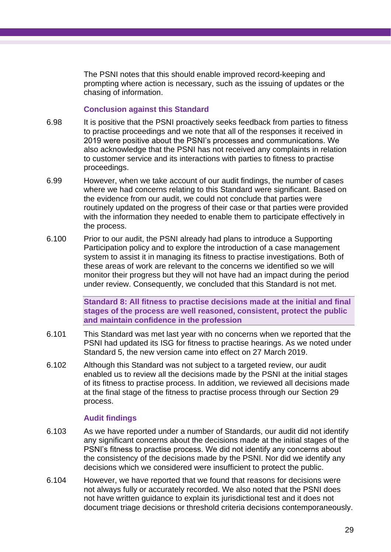The PSNI notes that this should enable improved record-keeping and prompting where action is necessary, such as the issuing of updates or the chasing of information.

#### **Conclusion against this Standard**

- 6.98 It is positive that the PSNI proactively seeks feedback from parties to fitness to practise proceedings and we note that all of the responses it received in 2019 were positive about the PSNI's processes and communications. We also acknowledge that the PSNI has not received any complaints in relation to customer service and its interactions with parties to fitness to practise proceedings.
- 6.99 However, when we take account of our audit findings, the number of cases where we had concerns relating to this Standard were significant. Based on the evidence from our audit, we could not conclude that parties were routinely updated on the progress of their case or that parties were provided with the information they needed to enable them to participate effectively in the process.
- 6.100 Prior to our audit, the PSNI already had plans to introduce a Supporting Participation policy and to explore the introduction of a case management system to assist it in managing its fitness to practise investigations. Both of these areas of work are relevant to the concerns we identified so we will monitor their progress but they will not have had an impact during the period under review. Consequently, we concluded that this Standard is not met.

**Standard 8: All fitness to practise decisions made at the initial and final stages of the process are well reasoned, consistent, protect the public and maintain confidence in the profession**

- 6.101 This Standard was met last year with no concerns when we reported that the PSNI had updated its ISG for fitness to practise hearings. As we noted under Standard 5, the new version came into effect on 27 March 2019.
- 6.102 Although this Standard was not subject to a targeted review, our audit enabled us to review all the decisions made by the PSNI at the initial stages of its fitness to practise process. In addition, we reviewed all decisions made at the final stage of the fitness to practise process through our Section 29 process.

#### **Audit findings**

- 6.103 As we have reported under a number of Standards, our audit did not identify any significant concerns about the decisions made at the initial stages of the PSNI's fitness to practise process. We did not identify any concerns about the consistency of the decisions made by the PSNI. Nor did we identify any decisions which we considered were insufficient to protect the public.
- 6.104 However, we have reported that we found that reasons for decisions were not always fully or accurately recorded. We also noted that the PSNI does not have written guidance to explain its jurisdictional test and it does not document triage decisions or threshold criteria decisions contemporaneously.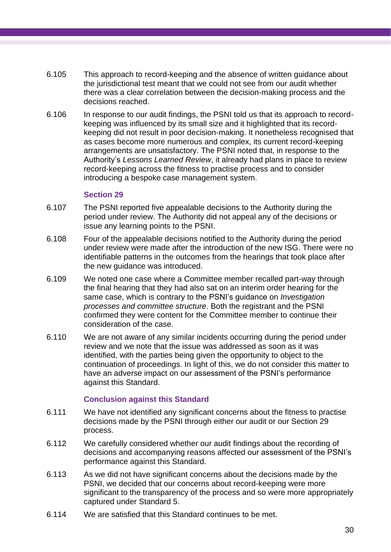- 6.105 This approach to record-keeping and the absence of written guidance about the jurisdictional test meant that we could not see from our audit whether there was a clear correlation between the decision-making process and the decisions reached.
- 6.106 In response to our audit findings, the PSNI told us that its approach to recordkeeping was influenced by its small size and it highlighted that its recordkeeping did not result in poor decision-making. It nonetheless recognised that as cases become more numerous and complex, its current record-keeping arrangements are unsatisfactory. The PSNI noted that, in response to the Authority's *Lessons Learned Review*, it already had plans in place to review record-keeping across the fitness to practise process and to consider introducing a bespoke case management system.

#### **Section 29**

- 6.107 The PSNI reported five appealable decisions to the Authority during the period under review. The Authority did not appeal any of the decisions or issue any learning points to the PSNI.
- 6.108 Four of the appealable decisions notified to the Authority during the period under review were made after the introduction of the new ISG. There were no identifiable patterns in the outcomes from the hearings that took place after the new guidance was introduced.
- 6.109 We noted one case where a Committee member recalled part-way through the final hearing that they had also sat on an interim order hearing for the same case, which is contrary to the PSNI's guidance on *Investigation processes and committee structure*. Both the registrant and the PSNI confirmed they were content for the Committee member to continue their consideration of the case.
- 6.110 We are not aware of any similar incidents occurring during the period under review and we note that the issue was addressed as soon as it was identified, with the parties being given the opportunity to object to the continuation of proceedings. In light of this, we do not consider this matter to have an adverse impact on our assessment of the PSNI's performance against this Standard.

#### **Conclusion against this Standard**

- 6.111 We have not identified any significant concerns about the fitness to practise decisions made by the PSNI through either our audit or our Section 29 process.
- 6.112 We carefully considered whether our audit findings about the recording of decisions and accompanying reasons affected our assessment of the PSNI's performance against this Standard.
- 6.113 As we did not have significant concerns about the decisions made by the PSNI, we decided that our concerns about record-keeping were more significant to the transparency of the process and so were more appropriately captured under Standard 5.
- 6.114 We are satisfied that this Standard continues to be met.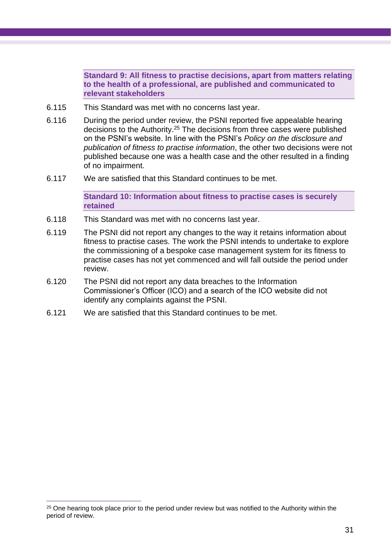**Standard 9: All fitness to practise decisions, apart from matters relating to the health of a professional, are published and communicated to relevant stakeholders**

- 6.115 This Standard was met with no concerns last year.
- 6.116 During the period under review, the PSNI reported five appealable hearing decisions to the Authority. <sup>25</sup> The decisions from three cases were published on the PSNI's website. In line with the PSNI's *Policy on the disclosure and publication of fitness to practise information*, the other two decisions were not published because one was a health case and the other resulted in a finding of no impairment.
- 6.117 We are satisfied that this Standard continues to be met.

**Standard 10: Information about fitness to practise cases is securely retained**

- 6.118 This Standard was met with no concerns last year.
- 6.119 The PSNI did not report any changes to the way it retains information about fitness to practise cases. The work the PSNI intends to undertake to explore the commissioning of a bespoke case management system for its fitness to practise cases has not yet commenced and will fall outside the period under review.
- 6.120 The PSNI did not report any data breaches to the Information Commissioner's Officer (ICO) and a search of the ICO website did not identify any complaints against the PSNI.
- 6.121 We are satisfied that this Standard continues to be met.

<sup>&</sup>lt;sup>25</sup> One hearing took place prior to the period under review but was notified to the Authority within the period of review.